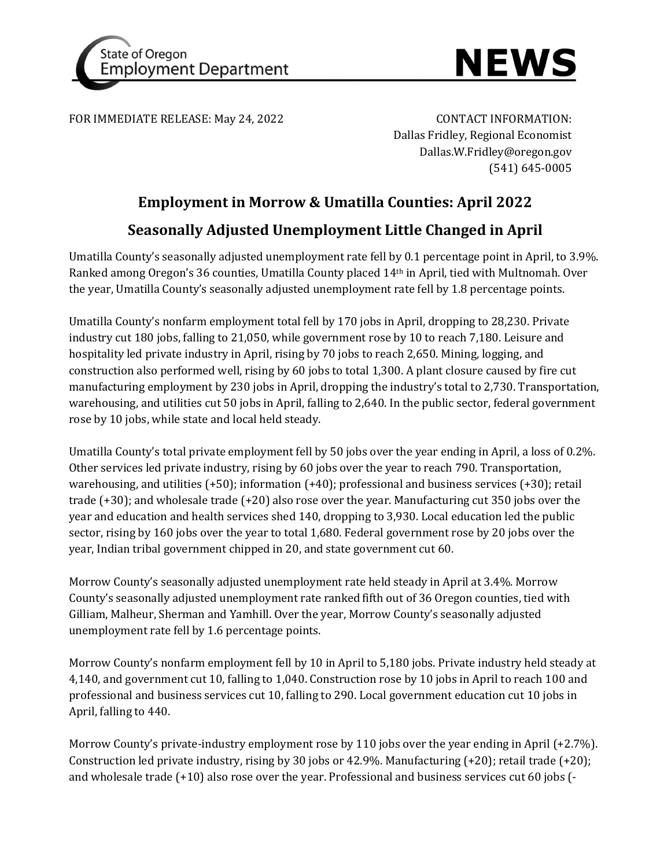



FOR IMMEDIATE RELEASE: May 24, 2022 CONTACT INFORMATION:

Dallas Fridley, Regional Economist Dallas.W.Fridley@oregon.gov (541) 645-0005

## **Employment in Morrow & Umatilla Counties: April 2022 Seasonally Adjusted Unemployment Little Changed in April**

Umatilla County's seasonally adjusted unemployment rate fell by 0.1 percentage point in April, to 3.9%. Ranked among Oregon's 36 counties, Umatilla County placed 14th in April, tied with Multnomah. Over the year, Umatilla County's seasonally adjusted unemployment rate fell by 1.8 percentage points.

Umatilla County's nonfarm employment total fell by 170 jobs in April, dropping to 28,230. Private industry cut 180 jobs, falling to 21,050, while government rose by 10 to reach 7,180. Leisure and hospitality led private industry in April, rising by 70 jobs to reach 2,650. Mining, logging, and construction also performed well, rising by 60 jobs to total 1,300. A plant closure caused by fire cut manufacturing employment by 230 jobs in April, dropping the industry's total to 2,730. Transportation, warehousing, and utilities cut 50 jobs in April, falling to 2,640. In the public sector, federal government rose by 10 jobs, while state and local held steady.

Umatilla County's total private employment fell by 50 jobs over the year ending in April, a loss of 0.2%. Other services led private industry, rising by 60 jobs over the year to reach 790. Transportation, warehousing, and utilities (+50); information (+40); professional and business services (+30); retail trade (+30); and wholesale trade (+20) also rose over the year. Manufacturing cut 350 jobs over the year and education and health services shed 140, dropping to 3,930. Local education led the public sector, rising by 160 jobs over the year to total 1,680. Federal government rose by 20 jobs over the year, Indian tribal government chipped in 20, and state government cut 60.

Morrow County's seasonally adjusted unemployment rate held steady in April at 3.4%. Morrow County's seasonally adjusted unemployment rate ranked fifth out of 36 Oregon counties, tied with Gilliam, Malheur, Sherman and Yamhill. Over the year, Morrow County's seasonally adjusted unemployment rate fell by 1.6 percentage points.

Morrow County's nonfarm employment fell by 10 in April to 5,180 jobs. Private industry held steady at 4,140, and government cut 10, falling to 1,040. Construction rose by 10 jobs in April to reach 100 and professional and business services cut 10, falling to 290. Local government education cut 10 jobs in April, falling to 440.

Morrow County's private-industry employment rose by 110 jobs over the year ending in April (+2.7%). Construction led private industry, rising by 30 jobs or 42.9%. Manufacturing (+20); retail trade (+20); and wholesale trade (+10) also rose over the year. Professional and business services cut 60 jobs (-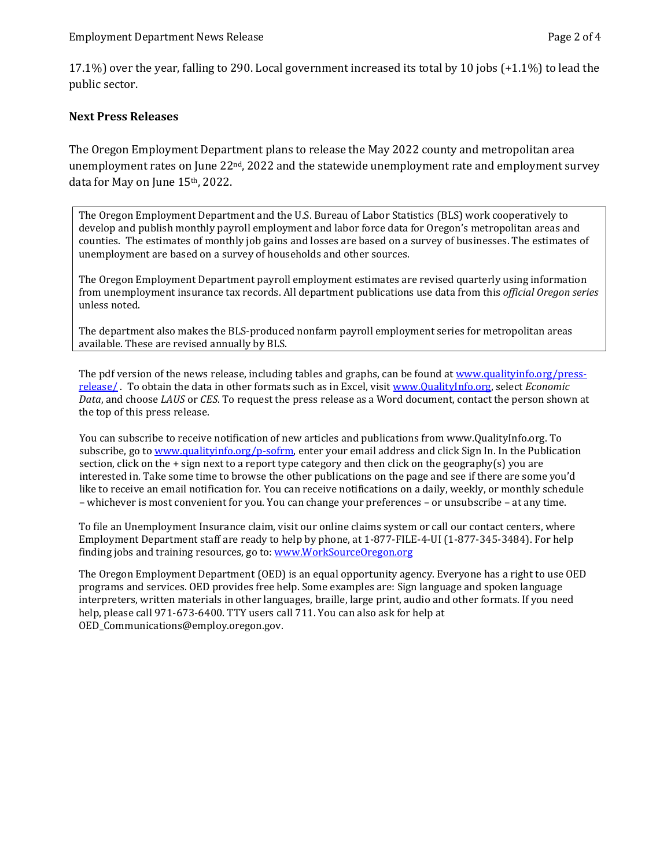17.1%) over the year, falling to 290. Local government increased its total by 10 jobs (+1.1%) to lead the public sector.

## **Next Press Releases**

The Oregon Employment Department plans to release the May 2022 county and metropolitan area unemployment rates on June  $22<sup>nd</sup>$ , 2022 and the statewide unemployment rate and employment survey data for May on June 15th, 2022.

The Oregon Employment Department and the U.S. Bureau of Labor Statistics (BLS) work cooperatively to develop and publish monthly payroll employment and labor force data for Oregon's metropolitan areas and counties. The estimates of monthly job gains and losses are based on a survey of businesses. The estimates of unemployment are based on a survey of households and other sources.

The Oregon Employment Department payroll employment estimates are revised quarterly using information from unemployment insurance tax records. All department publications use data from this *official Oregon series* unless noted.

The department also makes the BLS-produced nonfarm payroll employment series for metropolitan areas available. These are revised annually by BLS.

The pdf version of the news release, including tables and graphs, can be found a[t www.qualityinfo.org/press](http://www.qualityinfo.org/press-release/)[release/](http://www.qualityinfo.org/press-release/) . To obtain the data in other formats such as in Excel, visit [www.QualityInfo.org,](http://www.qualityinfo.org/) select *Economic Data*, and choose *LAUS* or *CES*. To request the press release as a Word document, contact the person shown at the top of this press release.

You can subscribe to receive notification of new articles and publications from www.QualityInfo.org. To subscribe, go to [www.qualityinfo.org/p-sofrm,](http://www.qualityinfo.org/p-sofrm) enter your email address and click Sign In. In the Publication section, click on the  $+$  sign next to a report type category and then click on the geography(s) you are interested in. Take some time to browse the other publications on the page and see if there are some you'd like to receive an email notification for. You can receive notifications on a daily, weekly, or monthly schedule – whichever is most convenient for you. You can change your preferences – or unsubscribe – at any time.

To file an Unemployment Insurance claim, visit our online claims system or call our contact centers, where Employment Department staff are ready to help by phone, at 1-877-FILE-4-UI (1-877-345-3484). For help finding jobs and training resources, go to: [www.WorkSourceOregon.org](http://www.worksourceoregon.org/)

The Oregon Employment Department (OED) is an equal opportunity agency. Everyone has a right to use OED programs and services. OED provides free help. Some examples are: Sign language and spoken language interpreters, written materials in other languages, braille, large print, audio and other formats. If you need help, please call 971-673-6400. TTY users call 711. You can also ask for help at OED\_Communications@employ.oregon.gov.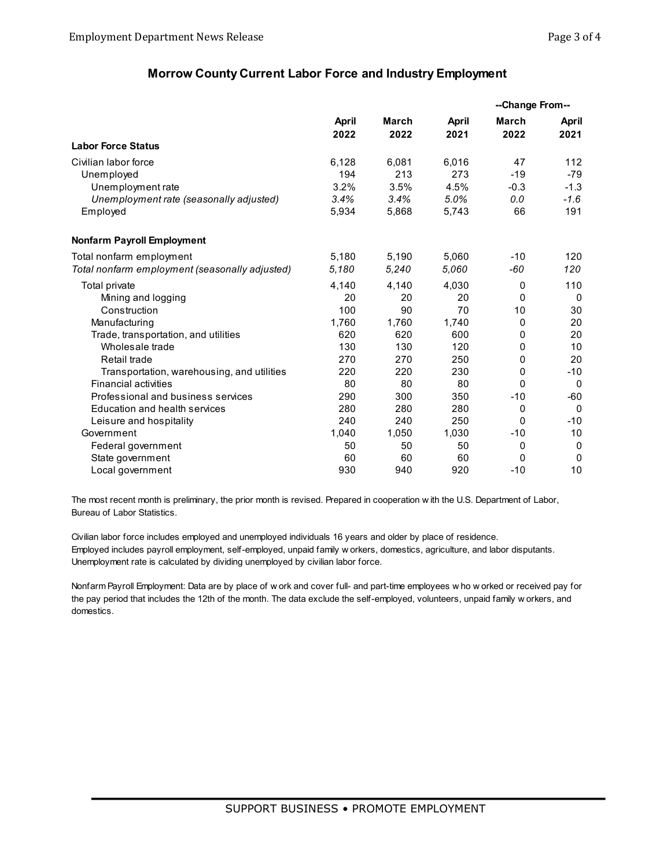## **Morrow County Current Labor Force and Industry Employment**

|                                                | <b>April</b> | March | <b>April</b> | --Change From-- |             |
|------------------------------------------------|--------------|-------|--------------|-----------------|-------------|
|                                                |              |       |              | March           | April       |
|                                                | 2022         | 2022  | 2021         | 2022            | 2021        |
| <b>Labor Force Status</b>                      |              |       |              |                 |             |
| Civilian labor force                           | 6,128        | 6,081 | 6,016        | 47              | 112         |
| Unemployed                                     | 194          | 213   | 273          | $-19$           | $-79$       |
| Unemployment rate                              | 3.2%         | 3.5%  | 4.5%         | $-0.3$          | $-1.3$      |
| Unemployment rate (seasonally adjusted)        | 3.4%         | 3.4%  | 5.0%         | 0.0             | $-1.6$      |
| Employed                                       | 5,934        | 5,868 | 5,743        | 66              | 191         |
| <b>Nonfarm Payroll Employment</b>              |              |       |              |                 |             |
| Total nonfarm employment                       | 5,180        | 5,190 | 5,060        | $-10$           | 120         |
| Total nonfarm employment (seasonally adjusted) | 5.180        | 5,240 | 5.060        | -60             | 120         |
| <b>Total private</b>                           | 4,140        | 4,140 | 4,030        | 0               | 110         |
| Mining and logging                             | 20           | 20    | 20           | $\mathbf{0}$    | $\Omega$    |
| Construction                                   | 100          | 90    | 70           | 10              | 30          |
| Manufacturing                                  | 1,760        | 1,760 | 1,740        | 0               | 20          |
| Trade, transportation, and utilities           | 620          | 620   | 600          | $\mathbf{0}$    | 20          |
| Wholesale trade                                | 130          | 130   | 120          | 0               | 10          |
| Retail trade                                   | 270          | 270   | 250          | $\mathbf{0}$    | 20          |
| Transportation, warehousing, and utilities     | 220          | 220   | 230          | 0               | $-10$       |
| <b>Financial activities</b>                    | 80           | 80    | 80           | $\Omega$        | $\Omega$    |
| Professional and business services             | 290          | 300   | 350          | $-10$           | $-60$       |
| Education and health services                  | 280          | 280   | 280          | 0               | $\Omega$    |
| Leisure and hospitality                        | 240          | 240   | 250          | $\mathbf{0}$    | $-10$       |
| Government                                     | 1,040        | 1,050 | 1,030        | $-10$           | 10          |
| Federal government                             | 50           | 50    | 50           | 0               | $\mathbf 0$ |
| State government                               | 60           | 60    | 60           | $\mathbf{0}$    | $\Omega$    |
| Local government                               | 930          | 940   | 920          | $-10$           | 10          |

The most recent month is preliminary, the prior month is revised. Prepared in cooperation w ith the U.S. Department of Labor, Bureau of Labor Statistics.

Civilian labor force includes employed and unemployed individuals 16 years and older by place of residence. Employed includes payroll employment, self-employed, unpaid family w orkers, domestics, agriculture, and labor disputants. Unemployment rate is calculated by dividing unemployed by civilian labor force.

Nonfarm Payroll Employment: Data are by place of w ork and cover full- and part-time employees w ho w orked or received pay for the pay period that includes the 12th of the month. The data exclude the self-employed, volunteers, unpaid family w orkers, and domestics.